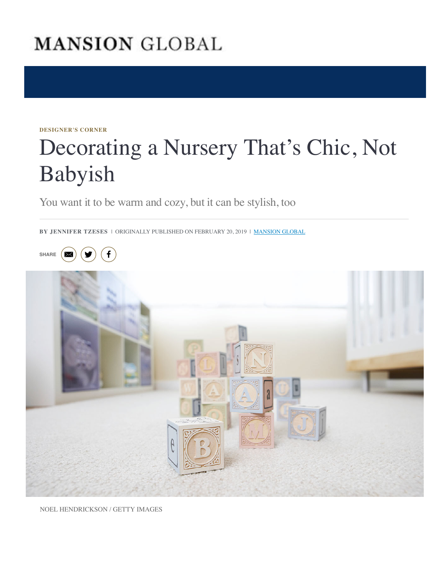# **MANSION GLOBAL**

#### **DESIGNER'S CORNER**

# Decorating a Nursery That's Chic, Not Babyish

You [wan](mailto:?subject=Decorating%20a%20Nursery%20That%E2%80%99s%20Chic,%20Not%20Babyish&body=https://www.mansionglobal.com/articles/decorating-a-nursery-that-s-chic-not-babyish-122081)[t it t](https://twitter.com/intent/tweet?text=Decorating%20a%20Nursery%20That%E2%80%99s%20Chic,%20Not%20Babyish&url=https://www.mansionglobal.com/articles/decorating-a-nursery-that-s-chic-not-babyish-122081&via=MansionGlobal)[o be](https://www.facebook.com/sharer/sharer.php?u=https://www.mansionglobal.com/articles/decorating-a-nursery-that-s-chic-not-babyish-122081) [w](https://www.mansionglobal.com/articles/decorating-a-nursery-that-s-chic-not-babyish-122081#)arm and cozy, but it can be stylish, too

**BY JENNIFER TZESES** | ORIGINALLY PUBLISHED ON FEBRUARY 20, 2019 | <u>MANSION GLOBAL</u>





NOEL HENDRICKSON / GETTY IMAGES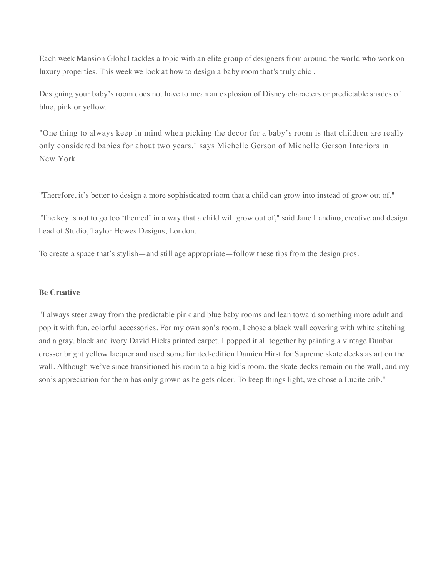Each week Mansion Global tackles a topic with an elite group of designers from around the world who work on luxury properties. This week we look at how to design a baby room that's truly chic **.**

Designing your baby's room does not have to mean an explosion of Disney characters or predictable shades of blue, pink or yellow.

"One thing to always keep in mind when picking the decor for a baby's room is that children are really only considered babies for about two years," says Michelle Gerson of Michelle Gerson Interiors in New York.

"Therefore, it's better to design a more sophisticated room that a child can grow into instead of grow out of."

"The key is not to go too 'themed' in a way that a child will grow out of," said Jane Landino, creative and design head of Studio, Taylor Howes Designs, London.

To create a space that's stylish—and still age appropriate—follow these tips from the design pros.

#### **Be Creative**

"I always steer away from the predictable pink and blue baby rooms and lean toward something more adult and pop it with fun, colorful accessories. For my own son's room, I chose a black wall covering with white stitching and a gray, black and ivory David Hicks printed carpet. I popped it all together by painting a vintage Dunbar dresser bright yellow lacquer and used some limited-edition Damien Hirst for Supreme skate decks as art on the wall. Although we've since transitioned his room to a big kid's room, the skate decks remain on the wall, and my son's appreciation for them has only grown as he gets older. To keep things light, we chose a Lucite crib."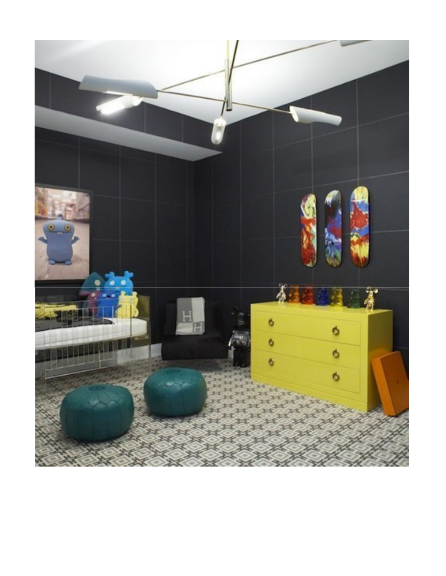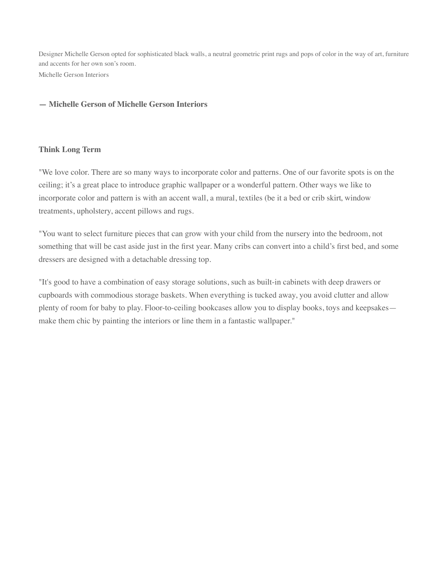Designer Michelle Gerson opted for sophisticated black walls, a neutral geometric print rugs and pops of color in the way of art, furniture and accents for her own son's room. Michelle Gerson Interiors

#### **— Michelle Gerson of Michelle Gerson Interiors**

#### **Think Long Term**

"We love color. There are so many ways to incorporate color and patterns. One of our favorite spots is on the ceiling; it's a great place to introduce graphic wallpaper or a wonderful pattern. Other ways we like to incorporate color and pattern is with an accent wall, a mural, textiles (be it a bed or crib skirt, window treatments, upholstery, accent pillows and rugs.

"You want to select furniture pieces that can grow with your child from the nursery into the bedroom, not something that will be cast aside just in the first year. Many cribs can convert into a child's first bed, and some dressers are designed with a detachable dressing top.

"It's go[od to have a combination of easy storage solutions, such as b](https://www.mansionglobal.com/articles/how-to-display-your-antiques-in-a-way-that-feels-modern-120837?mod=article_inline)uilt-in cabinets with deep drawers or cupboards with commodious storage baskets. When everything is tucked away, you avoid clutter and allow plenty of room for baby to play. Floor-to-ceiling bookcases allow you to display books, toys and keepsakes make them chic by painting the interiors or line them in a fantastic wallpaper."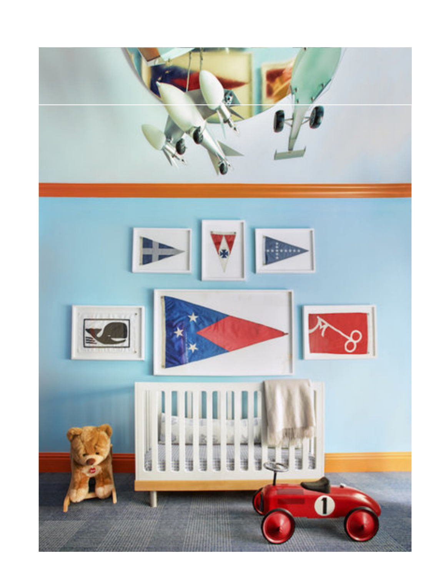